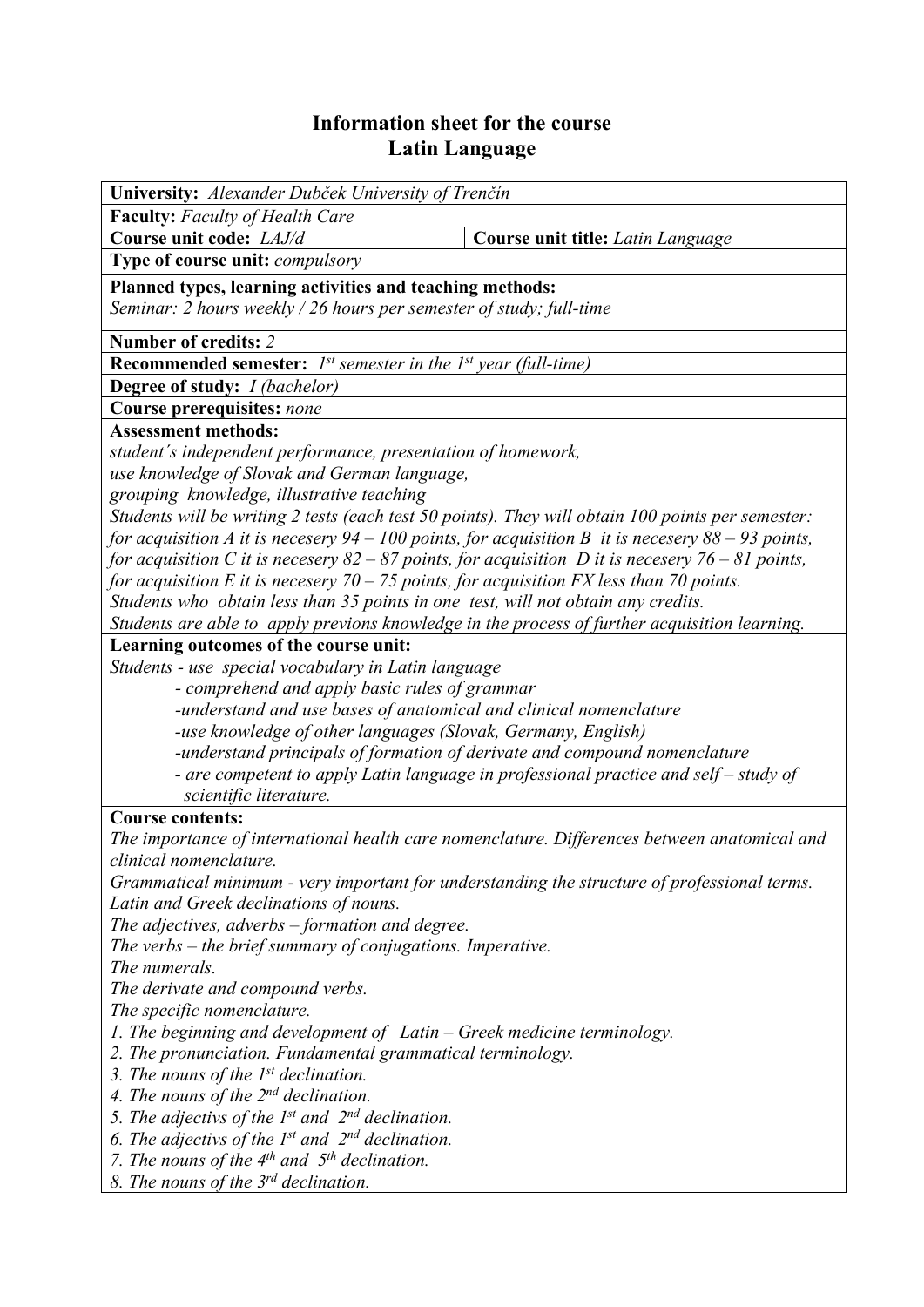## **Information sheet for the course Latin Language**

| University: Alexander Dubček University of Trenčín                                                     |                                                                                              |  |  |  |  |
|--------------------------------------------------------------------------------------------------------|----------------------------------------------------------------------------------------------|--|--|--|--|
| <b>Faculty:</b> Faculty of Health Care                                                                 |                                                                                              |  |  |  |  |
| Course unit code: LAJ/d                                                                                | Course unit title: Latin Language                                                            |  |  |  |  |
| Type of course unit: compulsory                                                                        |                                                                                              |  |  |  |  |
| Planned types, learning activities and teaching methods:                                               |                                                                                              |  |  |  |  |
| Seminar: 2 hours weekly / 26 hours per semester of study; full-time                                    |                                                                                              |  |  |  |  |
| Number of credits: 2                                                                                   |                                                                                              |  |  |  |  |
|                                                                                                        |                                                                                              |  |  |  |  |
| <b>Recommended semester:</b> $I^{st}$ semester in the $I^{st}$ year (full-time)                        |                                                                                              |  |  |  |  |
| <b>Degree of study:</b> <i>I (bachelor)</i><br>Course prerequisites: none                              |                                                                                              |  |  |  |  |
| <b>Assessment methods:</b>                                                                             |                                                                                              |  |  |  |  |
| student's independent performance, presentation of homework,                                           |                                                                                              |  |  |  |  |
| use knowledge of Slovak and German language,                                                           |                                                                                              |  |  |  |  |
| grouping knowledge, illustrative teaching                                                              |                                                                                              |  |  |  |  |
| Students will be writing 2 tests (each test 50 points). They will obtain 100 points per semester:      |                                                                                              |  |  |  |  |
| for acquisition A it is necesery $94 - 100$ points, for acquisition B it is necesery $88 - 93$ points, |                                                                                              |  |  |  |  |
| for acquisition C it is necesery $82 - 87$ points, for acquisition D it is necesery $76 - 81$ points,  |                                                                                              |  |  |  |  |
| for acquisition E it is necesery $70 - 75$ points, for acquisition FX less than 70 points.             |                                                                                              |  |  |  |  |
| Students who obtain less than 35 points in one test, will not obtain any credits.                      |                                                                                              |  |  |  |  |
| Students are able to apply previons knowledge in the process of further acquisition learning.          |                                                                                              |  |  |  |  |
| Learning outcomes of the course unit:                                                                  |                                                                                              |  |  |  |  |
| Students - use special vocabulary in Latin language                                                    |                                                                                              |  |  |  |  |
| - comprehend and apply basic rules of grammar                                                          |                                                                                              |  |  |  |  |
| -understand and use bases of anatomical and clinical nomenclature                                      |                                                                                              |  |  |  |  |
| -use knowledge of other languages (Slovak, Germany, English)                                           |                                                                                              |  |  |  |  |
| -understand principals of formation of derivate and compound nomenclature                              |                                                                                              |  |  |  |  |
|                                                                                                        | - are competent to apply Latin language in professional practice and self – study of         |  |  |  |  |
| scientific literature.                                                                                 |                                                                                              |  |  |  |  |
| <b>Course contents:</b>                                                                                |                                                                                              |  |  |  |  |
|                                                                                                        | The importance of international health care nomenclature. Differences between anatomical and |  |  |  |  |
| clinical nomenclature.                                                                                 |                                                                                              |  |  |  |  |
| Grammatical minimum - very important for understanding the structure of professional terms.            |                                                                                              |  |  |  |  |
| Latin and Greek declinations of nouns.                                                                 |                                                                                              |  |  |  |  |
| The adjectives, adverbs – formation and degree.                                                        |                                                                                              |  |  |  |  |
| The verbs $-$ the brief summary of conjugations. Imperative.                                           |                                                                                              |  |  |  |  |
| The numerals.                                                                                          |                                                                                              |  |  |  |  |
| The derivate and compound verbs.                                                                       |                                                                                              |  |  |  |  |
| The specific nomenclature.                                                                             |                                                                                              |  |  |  |  |
| 1. The beginning and development of $Latin-Greek$ medicine terminology.                                |                                                                                              |  |  |  |  |
| 2. The pronunciation. Fundamental grammatical terminology.                                             |                                                                                              |  |  |  |  |
| 3. The nouns of the $1^{st}$ declination.                                                              |                                                                                              |  |  |  |  |
| 4. The nouns of the $2^{nd}$ declination.                                                              |                                                                                              |  |  |  |  |
| 5. The adjectivs of the $1^{st}$ and $2^{nd}$ declination.                                             |                                                                                              |  |  |  |  |
| 6. The adjectivs of the $1^{st}$ and $2^{nd}$ declination.                                             |                                                                                              |  |  |  |  |
| 7. The nouns of the $4th$ and $5th$ declination.                                                       |                                                                                              |  |  |  |  |
| 8. The nouns of the $3^{rd}$ declination.                                                              |                                                                                              |  |  |  |  |
|                                                                                                        |                                                                                              |  |  |  |  |